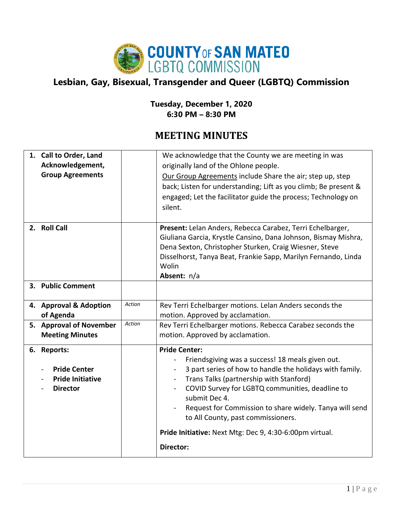

## **Lesbian, Gay, Bisexual, Transgender and Queer (LGBTQ) Commission**

## **Tuesday, December 1, 2020 6:30 PM – 8:30 PM**

## **MEETING MINUTES**

| 1. Call to Order, Land<br>Acknowledgement,<br><b>Group Agreements</b>            |               | We acknowledge that the County we are meeting in was<br>originally land of the Ohlone people.<br>Our Group Agreements include Share the air; step up, step<br>back; Listen for understanding; Lift as you climb; Be present &<br>engaged; Let the facilitator guide the process; Technology on<br>silent.                                                                                                                                         |
|----------------------------------------------------------------------------------|---------------|---------------------------------------------------------------------------------------------------------------------------------------------------------------------------------------------------------------------------------------------------------------------------------------------------------------------------------------------------------------------------------------------------------------------------------------------------|
| 2. Roll Call                                                                     |               | Present: Lelan Anders, Rebecca Carabez, Terri Echelbarger,<br>Giuliana Garcia, Krystle Cansino, Dana Johnson, Bismay Mishra,<br>Dena Sexton, Christopher Sturken, Craig Wiesner, Steve<br>Disselhorst, Tanya Beat, Frankie Sapp, Marilyn Fernando, Linda<br>Wolin<br>Absent: n/a                                                                                                                                                                  |
| 3. Public Comment                                                                |               |                                                                                                                                                                                                                                                                                                                                                                                                                                                   |
| 4. Approval & Adoption<br>of Agenda                                              | <b>Action</b> | Rev Terri Echelbarger motions. Lelan Anders seconds the<br>motion. Approved by acclamation.                                                                                                                                                                                                                                                                                                                                                       |
| 5. Approval of November<br><b>Meeting Minutes</b>                                | Action        | Rev Terri Echelbarger motions. Rebecca Carabez seconds the<br>motion. Approved by acclamation.                                                                                                                                                                                                                                                                                                                                                    |
| 6. Reports:<br><b>Pride Center</b><br><b>Pride Initiative</b><br><b>Director</b> |               | <b>Pride Center:</b><br>Friendsgiving was a success! 18 meals given out.<br>3 part series of how to handle the holidays with family.<br>Trans Talks (partnership with Stanford)<br>COVID Survey for LGBTQ communities, deadline to<br>submit Dec 4.<br>Request for Commission to share widely. Tanya will send<br>$\qquad \qquad -$<br>to All County, past commissioners.<br>Pride Initiative: Next Mtg: Dec 9, 4:30-6:00pm virtual.<br>Director: |